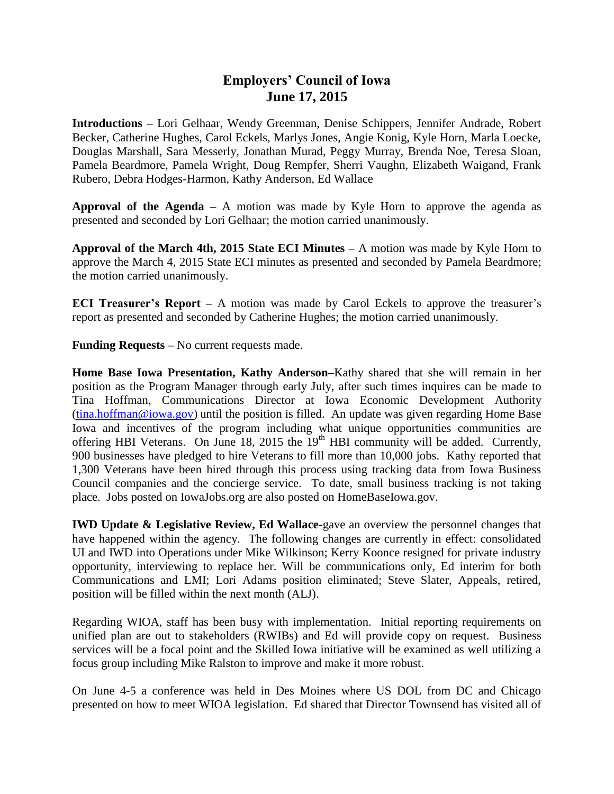## **Employers' Council of Iowa June 17, 2015**

**Introductions –** Lori Gelhaar, Wendy Greenman, Denise Schippers, Jennifer Andrade, Robert Becker, Catherine Hughes, Carol Eckels, Marlys Jones, Angie Konig, Kyle Horn, Marla Loecke, Douglas Marshall, Sara Messerly, Jonathan Murad, Peggy Murray, Brenda Noe, Teresa Sloan, Pamela Beardmore, Pamela Wright, Doug Rempfer, Sherri Vaughn, Elizabeth Waigand, Frank Rubero, Debra Hodges-Harmon, Kathy Anderson, Ed Wallace

**Approval of the Agenda –** A motion was made by Kyle Horn to approve the agenda as presented and seconded by Lori Gelhaar; the motion carried unanimously.

**Approval of the March 4th, 2015 State ECI Minutes –** A motion was made by Kyle Horn to approve the March 4, 2015 State ECI minutes as presented and seconded by Pamela Beardmore; the motion carried unanimously.

**ECI Treasurer's Report –** A motion was made by Carol Eckels to approve the treasurer's report as presented and seconded by Catherine Hughes; the motion carried unanimously.

**Funding Requests –** No current requests made.

**Home Base Iowa Presentation, Kathy Anderson–**Kathy shared that she will remain in her position as the Program Manager through early July, after such times inquires can be made to Tina Hoffman, Communications Director at Iowa Economic Development Authority [\(tina.hoffman@iowa.gov\)](mailto:tina.hoffman@iowa.gov) until the position is filled. An update was given regarding Home Base Iowa and incentives of the program including what unique opportunities communities are offering HBI Veterans. On June 18, 2015 the  $19<sup>th</sup>$  HBI community will be added. Currently, 900 businesses have pledged to hire Veterans to fill more than 10,000 jobs. Kathy reported that 1,300 Veterans have been hired through this process using tracking data from Iowa Business Council companies and the concierge service. To date, small business tracking is not taking place. Jobs posted on IowaJobs.org are also posted on HomeBaseIowa.gov.

**IWD Update & Legislative Review, Ed Wallace-**gave an overview the personnel changes that have happened within the agency. The following changes are currently in effect: consolidated UI and IWD into Operations under Mike Wilkinson; Kerry Koonce resigned for private industry opportunity, interviewing to replace her. Will be communications only, Ed interim for both Communications and LMI; Lori Adams position eliminated; Steve Slater, Appeals, retired, position will be filled within the next month (ALJ).

Regarding WIOA, staff has been busy with implementation. Initial reporting requirements on unified plan are out to stakeholders (RWIBs) and Ed will provide copy on request. Business services will be a focal point and the Skilled Iowa initiative will be examined as well utilizing a focus group including Mike Ralston to improve and make it more robust.

On June 4-5 a conference was held in Des Moines where US DOL from DC and Chicago presented on how to meet WIOA legislation. Ed shared that Director Townsend has visited all of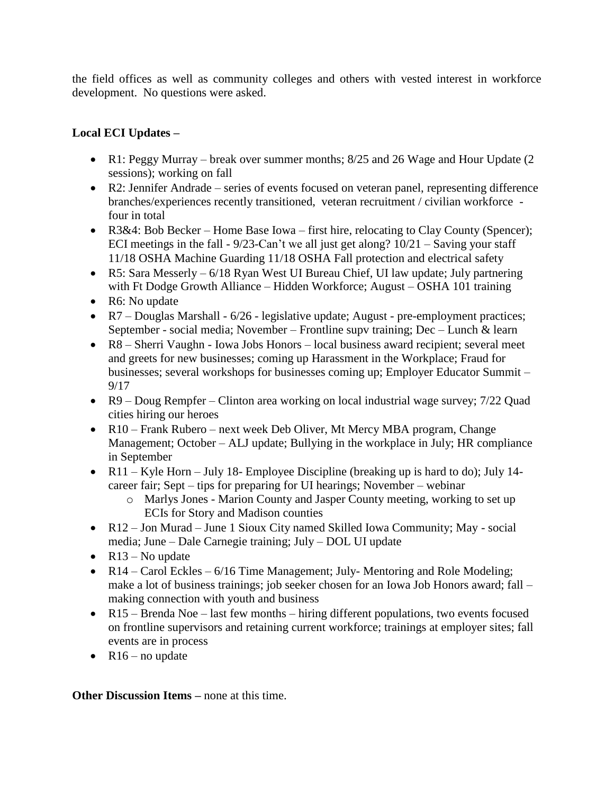the field offices as well as community colleges and others with vested interest in workforce development. No questions were asked.

## **Local ECI Updates –**

- R1: Peggy Murray break over summer months; 8/25 and 26 Wage and Hour Update (2) sessions); working on fall
- R2: Jennifer Andrade series of events focused on veteran panel, representing difference branches/experiences recently transitioned, veteran recruitment / civilian workforce four in total
- R3&4: Bob Becker Home Base Iowa first hire, relocating to Clay County (Spencer); ECI meetings in the fall - 9/23-Can't we all just get along? 10/21 – Saving your staff 11/18 OSHA Machine Guarding 11/18 OSHA Fall protection and electrical safety
- R5: Sara Messerly 6/18 Ryan West UI Bureau Chief, UI law update; July partnering with Ft Dodge Growth Alliance – Hidden Workforce; August – OSHA 101 training
- R6: No update
- R7 Douglas Marshall 6/26 legislative update; August pre-employment practices; September - social media; November – Frontline supv training; Dec – Lunch & learn
- R8 Sherri Vaughn Iowa Jobs Honors local business award recipient; several meet and greets for new businesses; coming up Harassment in the Workplace; Fraud for businesses; several workshops for businesses coming up; Employer Educator Summit – 9/17
- R9 Doug Rempfer Clinton area working on local industrial wage survey; 7/22 Quad cities hiring our heroes
- R10 Frank Rubero next week Deb Oliver, Mt Mercy MBA program, Change Management; October – ALJ update; Bullying in the workplace in July; HR compliance in September
- R11 Kyle Horn July 18- Employee Discipline (breaking up is hard to do); July 14career fair; Sept – tips for preparing for UI hearings; November – webinar
	- o Marlys Jones Marion County and Jasper County meeting, working to set up ECIs for Story and Madison counties
- R12 Jon Murad June 1 Sioux City named Skilled Iowa Community; May social media; June – Dale Carnegie training; July – DOL UI update
- $R13 No$  update
- $R14 Card$  Eckles 6/16 Time Management; July- Mentoring and Role Modeling; make a lot of business trainings; job seeker chosen for an Iowa Job Honors award; fall – making connection with youth and business
- R15 Brenda Noe last few months hiring different populations, two events focused on frontline supervisors and retaining current workforce; trainings at employer sites; fall events are in process
- $R16$  no update

**Other Discussion Items –** none at this time.